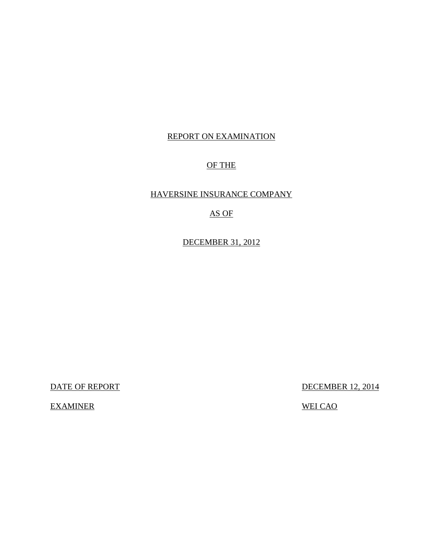## REPORT ON EXAMINATION

### OF THE

## HAVERSINE INSURANCE COMPANY

## AS OF

DECEMBER 31, 2012

DATE OF REPORT DECEMBER 12, 2014

EXAMINER WEI CAO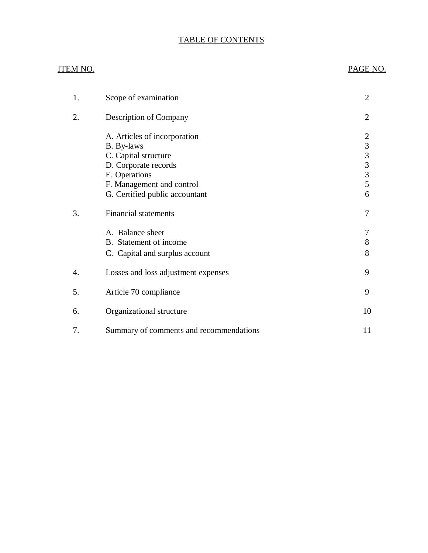## TABLE OF CONTENTS

### ITEM NO. PAGE NO.

| 1. | Scope of examination                                                                                                                                                       | $\overline{2}$                                                                                            |
|----|----------------------------------------------------------------------------------------------------------------------------------------------------------------------------|-----------------------------------------------------------------------------------------------------------|
| 2. | Description of Company                                                                                                                                                     | $\overline{2}$                                                                                            |
|    | A. Articles of incorporation<br>B. By-laws<br>C. Capital structure<br>D. Corporate records<br>E. Operations<br>F. Management and control<br>G. Certified public accountant | $\overline{c}$<br>$\overline{3}$<br>$\overline{\mathbf{3}}$<br>$\overline{3}$<br>$\mathfrak{Z}$<br>5<br>6 |
| 3. | <b>Financial statements</b>                                                                                                                                                | 7                                                                                                         |
|    | A. Balance sheet<br>B. Statement of income<br>C. Capital and surplus account                                                                                               | 7<br>8<br>8                                                                                               |
| 4. | Losses and loss adjustment expenses                                                                                                                                        | 9                                                                                                         |
| 5. | Article 70 compliance                                                                                                                                                      | 9                                                                                                         |
| 6. | Organizational structure                                                                                                                                                   | 10                                                                                                        |
| 7. | Summary of comments and recommendations                                                                                                                                    | 11                                                                                                        |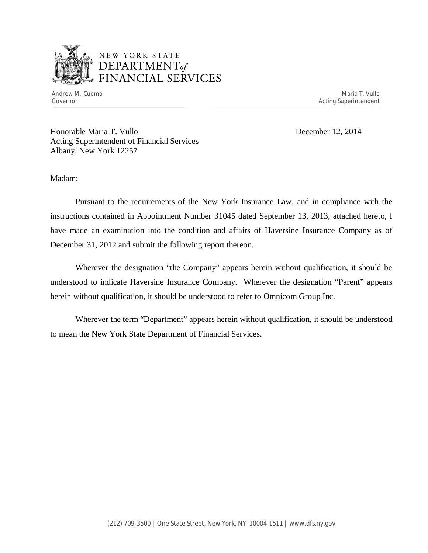

Andrew M. Cuomo **Maria T. Vullo** Maria T. Vullo Maria T. Vullo Maria T. Vullo Maria T. Vullo Governor Acting Superintendent

Honorable Maria T. Vullo December 12, 2014 Acting Superintendent of Financial Services Albany, New York 12257

Madam:

Pursuant to the requirements of the New York Insurance Law, and in compliance with the instructions contained in Appointment Number 31045 dated September 13, 2013, attached hereto, I have made an examination into the condition and affairs of Haversine Insurance Company as of December 31, 2012 and submit the following report thereon.

Wherever the designation "the Company" appears herein without qualification, it should be understood to indicate Haversine Insurance Company. Wherever the designation "Parent" appears herein without qualification, it should be understood to refer to Omnicom Group Inc.

Wherever the term "Department" appears herein without qualification, it should be understood to mean the New York State Department of Financial Services.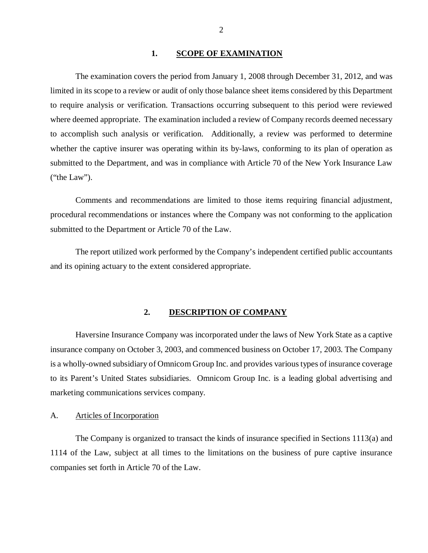#### 1. SCOPE OF EXAMINATION

<span id="page-3-0"></span>The examination covers the period from January 1, 2008 through December 31, 2012, and was limited in its scope to a review or audit of only those balance sheet items considered by this Department to require analysis or verification. Transactions occurring subsequent to this period were reviewed where deemed appropriate. The examination included a review of Company records deemed necessary to accomplish such analysis or verification. Additionally, a review was performed to determine whether the captive insurer was operating within its by-laws, conforming to its plan of operation as submitted to the Department, and was in compliance with Article 70 of the New York Insurance Law ("the Law").

Comments and recommendations are limited to those items requiring financial adjustment, procedural recommendations or instances where the Company was not conforming to the application submitted to the Department or Article 70 of the Law.

The report utilized work performed by the Company's independent certified public accountants and its opining actuary to the extent considered appropriate.

#### **2. DESCRIPTION OF COMPANY**

Haversine Insurance Company was incorporated under the laws of New York State as a captive insurance company on October 3, 2003, and commenced business on October 17, 2003. The Company is a wholly-owned subsidiary of Omnicom Group Inc. and provides various types of insurance coverage to its Parent's United States subsidiaries. Omnicom Group Inc. is a leading global advertising and marketing communications services company.

#### A. Articles of Incorporation

The Company is organized to transact the kinds of insurance specified in Sections 1113(a) and 1114 of the Law, subject at all times to the limitations on the business of pure captive insurance companies set forth in Article 70 of the Law.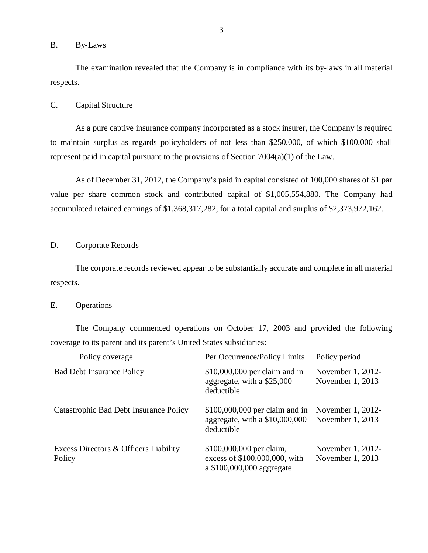#### <span id="page-4-0"></span>B. By-Laws

The examination revealed that the Company is in compliance with its by-laws in all material respects.

#### C. Capital Structure

As a pure captive insurance company incorporated as a stock insurer, the Company is required to maintain surplus as regards policyholders of not less than \$250,000, of which \$100,000 shall represent paid in capital pursuant to the provisions of Section 7004(a)(1) of the Law.

As of December 31, 2012, the Company's paid in capital consisted of 100,000 shares of \$1 par value per share common stock and contributed capital of \$1,005,554,880. The Company had accumulated retained earnings of \$1,368,317,282, for a total capital and surplus of \$2,373,972,162.

#### D. Corporate Records

The corporate records reviewed appear to be substantially accurate and complete in all material respects.

#### E. Operations

The Company commenced operations on October 17, 2003 and provided the following coverage to its parent and its parent's United States subsidiaries:

| Policy coverage                                 | Per Occurrence/Policy Limits                                                           | Policy period                         |
|-------------------------------------------------|----------------------------------------------------------------------------------------|---------------------------------------|
| <b>Bad Debt Insurance Policy</b>                | $$10,000,000$ per claim and in<br>aggregate, with a \$25,000<br>deductible             | November 1, 2012-<br>November 1, 2013 |
| Catastrophic Bad Debt Insurance Policy          | $$100,000,000$ per claim and in<br>aggregate, with a $$10,000,000$<br>deductible       | November 1, 2012-<br>November 1, 2013 |
| Excess Directors & Officers Liability<br>Policy | \$100,000,000 per claim,<br>excess of \$100,000,000, with<br>a \$100,000,000 aggregate | November 1, 2012-<br>November 1, 2013 |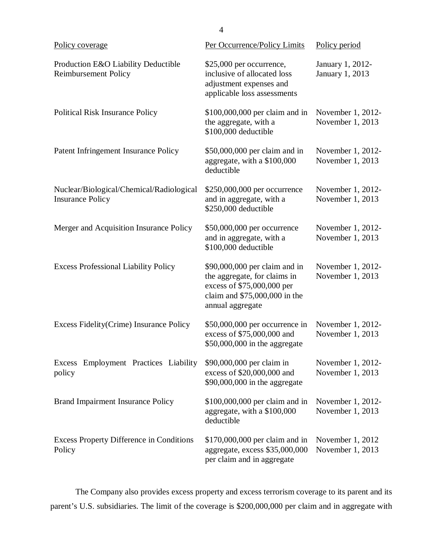| Policy coverage                                                     | Per Occurrence/Policy Limits                                                                                                                      | Policy period                         |  |
|---------------------------------------------------------------------|---------------------------------------------------------------------------------------------------------------------------------------------------|---------------------------------------|--|
| Production E&O Liability Deductible<br><b>Reimbursement Policy</b>  | \$25,000 per occurrence,<br>inclusive of allocated loss<br>adjustment expenses and<br>applicable loss assessments                                 | January 1, 2012-<br>January 1, 2013   |  |
| <b>Political Risk Insurance Policy</b>                              | \$100,000,000 per claim and in<br>the aggregate, with a<br>\$100,000 deductible                                                                   | November 1, 2012-<br>November 1, 2013 |  |
| Patent Infringement Insurance Policy                                | \$50,000,000 per claim and in<br>aggregate, with a \$100,000<br>deductible                                                                        | November 1, 2012-<br>November 1, 2013 |  |
| Nuclear/Biological/Chemical/Radiological<br><b>Insurance Policy</b> | \$250,000,000 per occurrence<br>and in aggregate, with a<br>\$250,000 deductible                                                                  | November 1, 2012-<br>November 1, 2013 |  |
| Merger and Acquisition Insurance Policy                             | \$50,000,000 per occurrence<br>and in aggregate, with a<br>\$100,000 deductible                                                                   | November 1, 2012-<br>November 1, 2013 |  |
| <b>Excess Professional Liability Policy</b>                         | \$90,000,000 per claim and in<br>the aggregate, for claims in<br>excess of \$75,000,000 per<br>claim and $$75,000,000$ in the<br>annual aggregate | November 1, 2012-<br>November 1, 2013 |  |
| Excess Fidelity (Crime) Insurance Policy                            | $$50,000,000$ per occurrence in<br>excess of \$75,000,000 and<br>$$50,000,000$ in the aggregate                                                   | November 1, 2012-<br>November 1, 2013 |  |
| Employment Practices Liability<br>Excess<br>policy                  | \$90,000,000 per claim in<br>excess of \$20,000,000 and<br>$$90,000,000$ in the aggregate                                                         | November 1, 2012-<br>November 1, 2013 |  |
| <b>Brand Impairment Insurance Policy</b>                            | \$100,000,000 per claim and in<br>aggregate, with a \$100,000<br>deductible                                                                       | November 1, 2012-<br>November 1, 2013 |  |
| <b>Excess Property Difference in Conditions</b><br>Policy           | \$170,000,000 per claim and in<br>aggregate, excess \$35,000,000<br>per claim and in aggregate                                                    | November 1, 2012<br>November 1, 2013  |  |

The Company also provides excess property and excess terrorism coverage to its parent and its parent's U.S. subsidiaries. The limit of the coverage is \$200,000,000 per claim and in aggregate with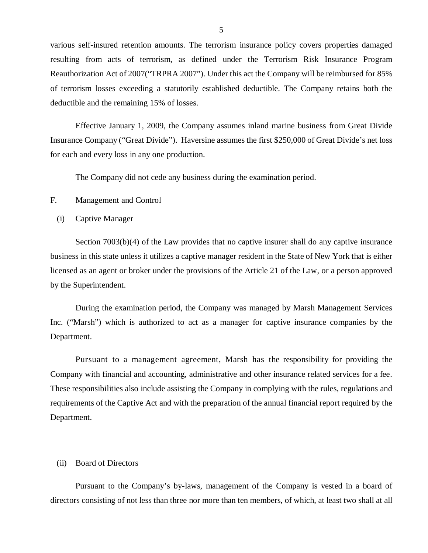<span id="page-6-0"></span>various self-insured retention amounts. The terrorism insurance policy covers properties damaged resulting from acts of terrorism, as defined under the Terrorism Risk Insurance Program Reauthorization Act of 2007("TRPRA 2007"). Under this act the Company will be reimbursed for 85% of terrorism losses exceeding a statutorily established deductible. The Company retains both the deductible and the remaining 15% of losses.

Effective January 1, 2009, the Company assumes inland marine business from Great Divide Insurance Company ("Great Divide"). Haversine assumes the first \$250,000 of Great Divide's net loss for each and every loss in any one production.

The Company did not cede any business during the examination period.

#### F. Management and Control

#### (i) Captive Manager

Section 7003(b)(4) of the Law provides that no captive insurer shall do any captive insurance business in this state unless it utilizes a captive manager resident in the State of New York that is either licensed as an agent or broker under the provisions of the Article 21 of the Law, or a person approved by the Superintendent.

During the examination period, the Company was managed by Marsh Management Services Inc. ("Marsh") which is authorized to act as a manager for captive insurance companies by the Department.

Pursuant to a management agreement, Marsh has the responsibility for providing the Company with financial and accounting, administrative and other insurance related services for a fee. These responsibilities also include assisting the Company in complying with the rules, regulations and requirements of the Captive Act and with the preparation of the annual financial report required by the Department.

#### (ii) Board of Directors

Pursuant to the Company's by-laws, management of the Company is vested in a board of directors consisting of not less than three nor more than ten members, of which, at least two shall at all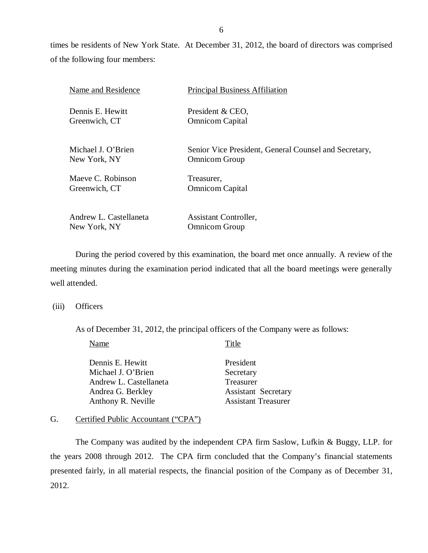times be residents of New York State. At December 31, 2012, the board of directors was comprised of the following four members:

| Name and Residence     | <b>Principal Business Affiliation</b>                 |
|------------------------|-------------------------------------------------------|
| Dennis E. Hewitt       | President & CEO,                                      |
| Greenwich, CT          | <b>Omnicom Capital</b>                                |
| Michael J. O'Brien     | Senior Vice President, General Counsel and Secretary, |
| New York, NY           | <b>Omnicom Group</b>                                  |
| Maeve C. Robinson      | Treasurer.                                            |
| Greenwich, CT          | <b>Omnicom Capital</b>                                |
| Andrew L. Castellaneta | <b>Assistant Controller,</b>                          |
| New York, NY           | <b>Omnicom Group</b>                                  |

During the period covered by this examination, the board met once annually. A review of the meeting minutes during the examination period indicated that all the board meetings were generally well attended.

(iii) Officers

As of December 31, 2012, the principal officers of the Company were as follows:

| Name                   | Title                      |
|------------------------|----------------------------|
| Dennis E. Hewitt       | President                  |
| Michael J. O'Brien     | Secretary                  |
| Andrew L. Castellaneta | Treasurer                  |
| Andrea G. Berkley      | <b>Assistant Secretary</b> |
| Anthony R. Neville     | <b>Assistant Treasurer</b> |
|                        |                            |

#### G. Certified Public Accountant ("CPA")

The Company was audited by the independent CPA firm Saslow, Lufkin & Buggy, LLP. for the years 2008 through 2012. The CPA firm concluded that the Company's financial statements presented fairly, in all material respects, the financial position of the Company as of December 31, 2012.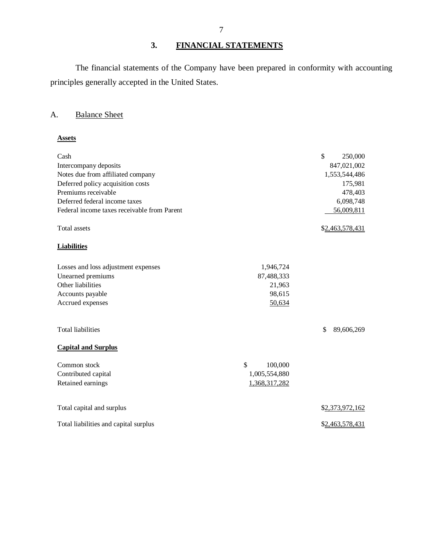## **3. FINANCIAL STATEMENTS**

The financial statements of the Company have been prepared in conformity with accounting principles generally accepted in the United States.

## A. Balance Sheet

#### **Assets**

| Cash                                        |               | \$<br>250,000    |
|---------------------------------------------|---------------|------------------|
| Intercompany deposits                       |               | 847,021,002      |
| Notes due from affiliated company           |               | 1,553,544,486    |
| Deferred policy acquisition costs           |               | 175,981          |
| Premiums receivable                         |               | 478,403          |
| Deferred federal income taxes               |               | 6,098,748        |
| Federal income taxes receivable from Parent |               | 56,009,811       |
| Total assets                                |               | \$2,463,578,431  |
| <b>Liabilities</b>                          |               |                  |
| Losses and loss adjustment expenses         | 1,946,724     |                  |
| Unearned premiums                           | 87,488,333    |                  |
| Other liabilities                           | 21,963        |                  |
| Accounts payable                            | 98,615        |                  |
| Accrued expenses                            | 50,634        |                  |
| <b>Total liabilities</b>                    |               | \$<br>89,606,269 |
| <b>Capital and Surplus</b>                  |               |                  |
| Common stock                                | \$<br>100,000 |                  |
| Contributed capital                         | 1,005,554,880 |                  |
| Retained earnings                           | 1,368,317,282 |                  |
| Total capital and surplus                   |               | \$2,373,972,162  |
| Total liabilities and capital surplus       |               | \$2,463,578,431  |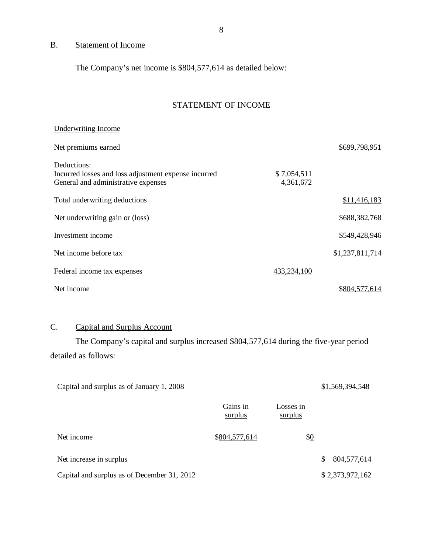## B. Statement of Income

The Company's net income is \$804,577,614 as detailed below:

## STATEMENT OF INCOME

| Underwriting Income                                                                         |                          |                 |
|---------------------------------------------------------------------------------------------|--------------------------|-----------------|
| Net premiums earned                                                                         |                          | \$699,798,951   |
| Deductions:                                                                                 |                          |                 |
| Incurred losses and loss adjustment expense incurred<br>General and administrative expenses | \$7,054,511<br>4,361,672 |                 |
| Total underwriting deductions                                                               |                          | \$11,416,183    |
| Net underwriting gain or (loss)                                                             |                          | \$688,382,768   |
| Investment income                                                                           |                          | \$549,428,946   |
| Net income before tax                                                                       |                          | \$1,237,811,714 |
| Federal income tax expenses                                                                 | 433,234,100              |                 |
| Net income                                                                                  |                          | \$804,577,614   |

## C. Capital and Surplus Account

The Company's capital and surplus increased \$804,577,614 during the five-year period detailed as follows:

| Capital and surplus as of January 1, 2008   |                     |                      | \$1,569,394,548 |
|---------------------------------------------|---------------------|----------------------|-----------------|
|                                             | Gains in<br>surplus | Losses in<br>surplus |                 |
| Net income                                  | \$804,577,614       | \$ <u>0</u>          |                 |
| Net increase in surplus                     |                     |                      | 804, 577, 614   |
| Capital and surplus as of December 31, 2012 |                     |                      | \$2,373,972,162 |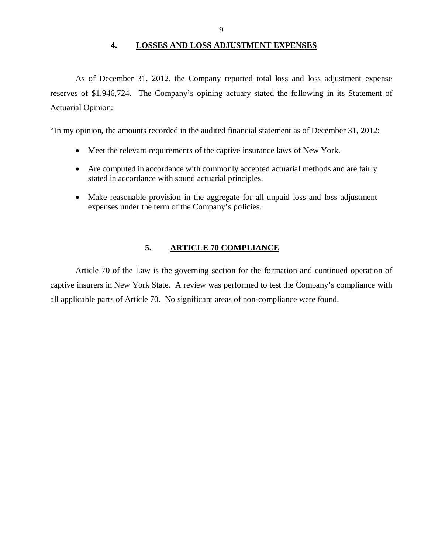#### **4. LOSSES AND LOSS ADJUSTMENT EXPENSES**

<span id="page-10-0"></span>As of December 31, 2012, the Company reported total loss and loss adjustment expense reserves of \$1,946,724. The Company's opining actuary stated the following in its Statement of Actuarial Opinion:

"In my opinion, the amounts recorded in the audited financial statement as of December 31, 2012:

- Meet the relevant requirements of the captive insurance laws of New York.
- Are computed in accordance with commonly accepted actuarial methods and are fairly stated in accordance with sound actuarial principles.
- Make reasonable provision in the aggregate for all unpaid loss and loss adjustment expenses under the term of the Company's policies.

#### **5. ARTICLE 70 COMPLIANCE**

Article 70 of the Law is the governing section for the formation and continued operation of captive insurers in New York State. A review was performed to test the Company's compliance with all applicable parts of Article 70. No significant areas of non-compliance were found.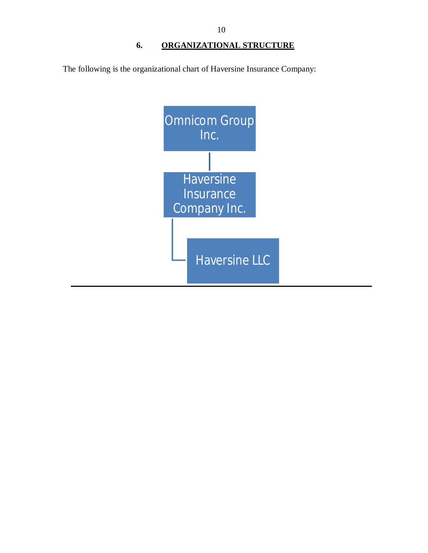<span id="page-11-0"></span>The following is the organizational chart of Haversine Insurance Company:

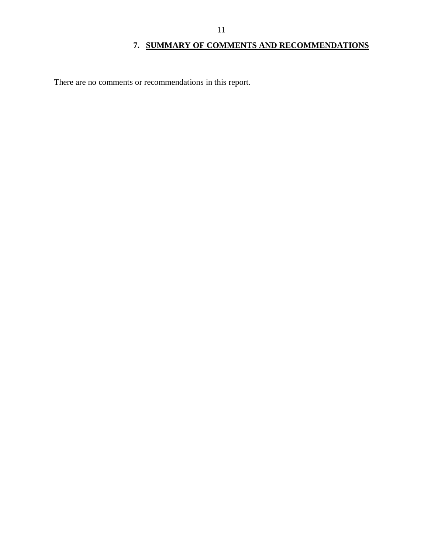## **7. SUMMARY OF COMMENTS AND RECOMMENDATIONS**

<span id="page-12-0"></span>There are no comments or recommendations in this report.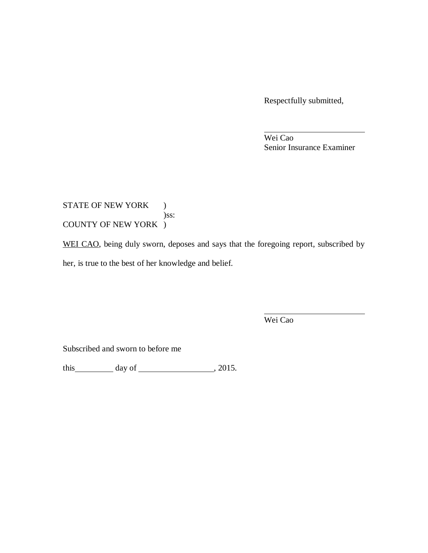Respectfully submitted,

Wei Cao Senior Insurance Examiner

### STATE OF NEW YORK ) )ss: COUNTY OF NEW YORK )

WEI CAO, being duly sworn, deposes and says that the foregoing report, subscribed by her, is true to the best of her knowledge and belief.

Wei Cao

Subscribed and sworn to before me

this day of , 2015.